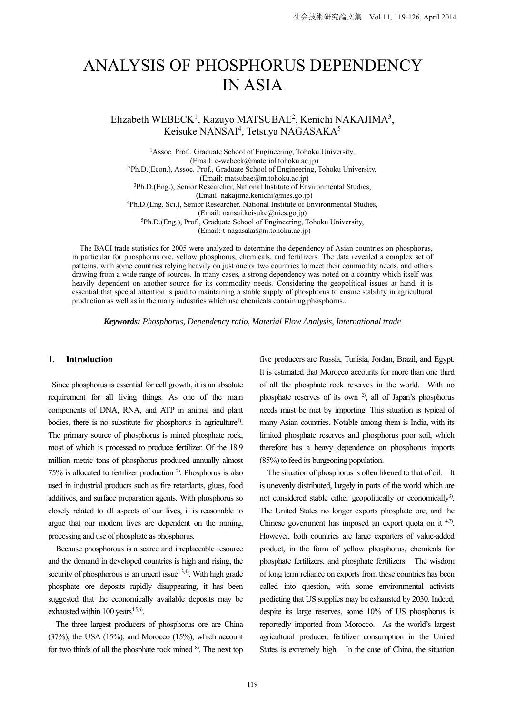# ANALYSIS OF PHOSPHORUS DEPENDENCY IN ASIA

Elizabeth WEBECK<sup>1</sup>, Kazuyo MATSUBAE<sup>2</sup>, Kenichi NAKAJIMA<sup>3</sup>, Keisuke NANSAI<sup>4</sup>, Tetsuya NAGASAKA<sup>5</sup>

<sup>1</sup>Assoc. Prof., Graduate School of Engineering, Tohoku University, (Email: e-webeck@material.tohoku.ac.jp)<br>
<sup>2</sup>Ph.D.(Econ.), Assoc. Prof., Graduate School of Engineering, Tohoku University,<br>
(Email: matsubae@m.tohoku.ac.jp) <sup>3</sup>Ph.D.(Eng.), Senior Researcher, National Institute of Environmental Studies, (Email: nakajima.kenichi@nies.go.jp) <sup>4</sup>Ph.D.(Eng. Sci.), Senior Researcher, National Institute of Environmental Studies, (Email: nansai.keisuke@nies.go.jp) 5Ph.D.(Eng.), Prof., Graduate School of Engineering, Tohoku University, (Email: t-nagasaka@m.tohoku.ac.jp)

The BACI trade statistics for 2005 were analyzed to determine the dependency of Asian countries on phosphorus, in particular for phosphorus ore, yellow phosphorus, chemicals, and fertilizers. The data revealed a complex set of patterns, with some countries relying heavily on just one or two countries to meet their commodity needs, and others drawing from a wide range of sources. In many cases, a strong dependency was noted on a country which itself was heavily dependent on another source for its commodity needs. Considering the geopolitical issues at hand, it is essential that special attention is paid to maintaining a stable supply of phosphorus to ensure stability in agricultural production as well as in the many industries which use chemicals containing phosphorus..

*Keywords: Phosphorus, Dependency ratio, Material Flow Analysis, International trade* 

# **1. Introduction**

Since phosphorus is essential for cell growth, it is an absolute requirement for all living things. As one of the main components of DNA, RNA, and ATP in animal and plant bodies, there is no substitute for phosphorus in agriculture<sup>1)</sup>. The primary source of phosphorus is mined phosphate rock, most of which is processed to produce fertilizer. Of the 18.9 million metric tons of phosphorus produced annually almost 75% is allocated to fertilizer production 2). Phosphorus is also used in industrial products such as fire retardants, glues, food additives, and surface preparation agents. With phosphorus so closely related to all aspects of our lives, it is reasonable to argue that our modern lives are dependent on the mining, processing and use of phosphate as phosphorus.

Because phosphorous is a scarce and irreplaceable resource and the demand in developed countries is high and rising, the security of phosphorous is an urgent issue $1,3,4$ . With high grade phosphate ore deposits rapidly disappearing, it has been suggested that the economically available deposits may be exhausted within 100 years $4,5,6$ .

The three largest producers of phosphorus ore are China  $(37%)$ , the USA  $(15%)$ , and Morocco  $(15%)$ , which account for two thirds of all the phosphate rock mined <sup>8)</sup>. The next top

five producers are Russia, Tunisia, Jordan, Brazil, and Egypt. It is estimated that Morocco accounts for more than one third of all the phosphate rock reserves in the world. With no phosphate reserves of its own 2), all of Japan's phosphorus needs must be met by importing. This situation is typical of many Asian countries. Notable among them is India, with its limited phosphate reserves and phosphorus poor soil, which therefore has a heavy dependence on phosphorus imports (85%) to feed its burgeoning population.

The situation of phosphorus is often likened to that of oil. It is unevenly distributed, largely in parts of the world which are not considered stable either geopolitically or economically<sup>3)</sup>. The United States no longer exports phosphate ore, and the Chinese government has imposed an export quota on it <sup>4,7)</sup>. However, both countries are large exporters of value-added product, in the form of yellow phosphorus, chemicals for phosphate fertilizers, and phosphate fertilizers. The wisdom of long term reliance on exports from these countries has been called into question, with some environmental activists predicting that US supplies may be exhausted by 2030. Indeed, despite its large reserves, some 10% of US phosphorus is reportedly imported from Morocco. As the world's largest agricultural producer, fertilizer consumption in the United States is extremely high. In the case of China, the situation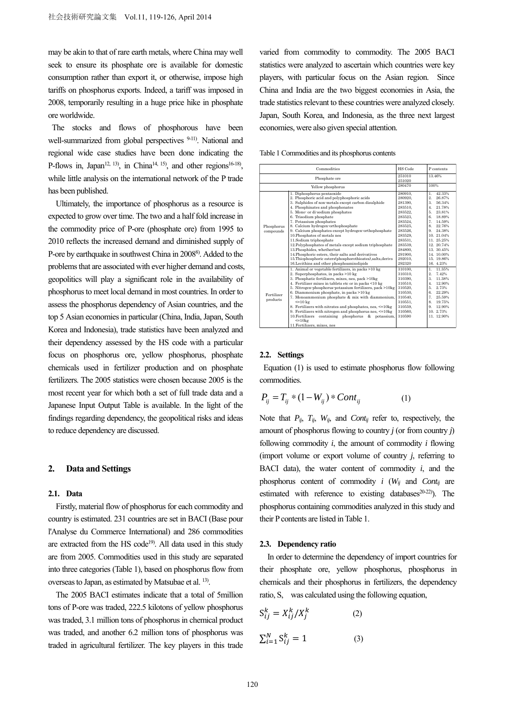may be akin to that of rare earth metals, where China may well seek to ensure its phosphate ore is available for domestic consumption rather than export it, or otherwise, impose high tariffs on phosphorus exports. Indeed, a tariff was imposed in 2008, temporarily resulting in a huge price hike in phosphate ore worldwide.

The stocks and flows of phosphorous have been well-summarized from global perspectives <sup>9-11)</sup>. National and regional wide case studies have been done indicating the P-flows in, Japan<sup>12, 13</sup>), in China<sup>14, 15</sup>), and other regions<sup>16-18</sup>), while little analysis on the international network of the P trade has been published.

Ultimately, the importance of phosphorus as a resource is expected to grow over time. The two and a half fold increase in the commodity price of P-ore (phosphate ore) from 1995 to 2010 reflects the increased demand and diminished supply of P-ore by earthquake in southwest China in 20088). Added to the problems that are associated with ever higher demand and costs, geopolitics will play a significant role in the availability of phosphorus to meet local demand in most countries. In order to assess the phosphorus dependency of Asian countries, and the top 5 Asian economies in particular (China, India, Japan, South Korea and Indonesia), trade statistics have been analyzed and their dependency assessed by the HS code with a particular focus on phosphorus ore, yellow phosphorus, phosphate chemicals used in fertilizer production and on phosphate fertilizers. The 2005 statistics were chosen because 2005 is the most recent year for which both a set of full trade data and a Japanese Input Output Table is available. In the light of the findings regarding dependency, the geopolitical risks and ideas to reduce dependency are discussed.

# **2. Data and Settings**

#### **2.1. Data**

Firstly, material flow of phosphorus for each commodity and country is estimated. 231 countries are set in BACI (Base pour l'Analyse du Commerce International) and 286 commodities are extracted from the HS code<sup>19)</sup>. All data used in this study are from 2005. Commodities used in this study are separated into three categories (Table 1), based on phosphorus flow from overseas to Japan, as estimated by Matsubae et al. 13).

The 2005 BACI estimates indicate that a total of 5million tons of P-ore was traded, 222.5 kilotons of yellow phosphorus was traded, 3.1 million tons of phosphorus in chemical product was traded, and another 6.2 million tons of phosphorus was traded in agricultural fertilizer. The key players in this trade varied from commodity to commodity. The 2005 BACI statistics were analyzed to ascertain which countries were key players, with particular focus on the Asian region. Since China and India are the two biggest economies in Asia, the trade statistics relevant to these countries were analyzed closely. Japan, South Korea, and Indonesia, as the three next largest economies, were also given special attention.

Table 1 Commodities and its phosphorus contents

| Commodities             |                                                                                                                                                                                                                                                                                                                                                                                                                                                                                                                                                                                                                                                                                   | HS Code                                                                                                                                                                   | P contents                                                                                                                                                                                                                                                         |
|-------------------------|-----------------------------------------------------------------------------------------------------------------------------------------------------------------------------------------------------------------------------------------------------------------------------------------------------------------------------------------------------------------------------------------------------------------------------------------------------------------------------------------------------------------------------------------------------------------------------------------------------------------------------------------------------------------------------------|---------------------------------------------------------------------------------------------------------------------------------------------------------------------------|--------------------------------------------------------------------------------------------------------------------------------------------------------------------------------------------------------------------------------------------------------------------|
| Phosphate ore           |                                                                                                                                                                                                                                                                                                                                                                                                                                                                                                                                                                                                                                                                                   | 251010<br>251020                                                                                                                                                          | 13.46%                                                                                                                                                                                                                                                             |
| Yellow phosphorus       |                                                                                                                                                                                                                                                                                                                                                                                                                                                                                                                                                                                                                                                                                   | 280470                                                                                                                                                                    | 100%                                                                                                                                                                                                                                                               |
| Phosphorus<br>compounds | 1. Diphosphorus pentaoxide<br>2. Phosphoric acid and polyphosphoric acids<br>3. Sulphides of non-metals except carbon disulphide<br>4. Phosphinates and phosphonates<br>5. Mono- or di-sodium phosphates<br>6. Trisodium phosphate<br>7. Potassium phosphates<br>8. Calcium hydrogen-orthophosphate<br>9. Calcium phosphates except hydrogen-orthophosphate<br>10.Phosphates of metals nes<br>11.Sodium triphosphate<br>12. Polyphosphates of metals except sodium triphosphate<br>13. Phosphides, whether/not<br>14. Phosphoric esters, their salts and derivatives<br>15. Thiophosphoric esters(phosphorothioates), salts, derivs<br>16. Lecithins and other phosphoaminolipids | 280910.<br>280920.<br>281390,<br>283510.<br>283522<br>283523<br>283524.<br>283525.<br>283526.<br>283529.<br>283531.<br>283539,<br>284800.<br>291900.<br>292010.<br>292320 | 42.33%<br>$\mathbf{1}$ .<br>$\overline{2}$ .<br>26.87%<br>$3 -$<br>56.34%<br>21.78%<br>4<br>23.81%<br>5.<br>18.89%<br>6.<br>7.<br>14.59%<br>22.76%<br>8.<br>24.38%<br>9.<br>10 21 04%<br>11.25.25%<br>12 20 74%<br>13 30 45%<br>14 10 00%<br>15 19.86%<br>16 4 23% |
| Fertilizer<br>products  | 1. Animal or vegetable fertilizers, in packs >10 kg<br>2. Superphosphates, in packs >10 kg<br>3. Phosphatic fertilizers, mixes, nes, pack >10kg<br>4. Fertilizer mixes in tablets etc or in packs <10 kg<br>5. Nitrogen-phosphorus-potassium fertilizers, pack >10kg<br>6. Diammonium phosphate, in packs >10 kg<br>7. Monoammonium phosphate & mix with diammonium,<br>$<=10$ kg<br>8. Fertilizers with nitrates and phosphates, nes, <= 10kg<br>9. Fertilizers with nitrogen and phosphorus nes, <= 10kg<br>10. Fertilizers containing phosphorus & potassium,<br>$\leq 10$ kg<br>11. Fertilizers, mixes, nes                                                                   | 310100.<br>310310.<br>310390.<br>310510.<br>310520.<br>310530<br>310540.<br>310551.<br>310559<br>310560.<br>310590                                                        | 11.35%<br>$\mathbf{1}$ .<br>$2^{\circ}$<br>7.42%<br>3 <sub>1</sub><br>11.38%<br>12.90%<br>4<br>2.73%<br>5.<br>22.29%<br>6.<br>7.<br>25.59%<br>19.75%<br>8.<br>12.90%<br>9.<br>10 2.73%<br>11. 12.90%                                                               |

# **2.2. Settings**

Equation (1) is used to estimate phosphorus flow following commodities.

$$
P_{ij} = T_{ij} * (1 - W_{ij}) * Cont_{ij}
$$
 (1)

Note that  $P_{ij}$ ,  $T_{ij}$ ,  $W_{ij}$ , and *Cont<sub>ij</sub>* refer to, respectively, the amount of phosphorus flowing to country *j* (or from country *j*) following commodity *i*, the amount of commodity *i* flowing (import volume or export volume of country *j*, referring to BACI data), the water content of commodity *i*, and the phosphorus content of commodity *i* (*Wij* and *Contij* are estimated with reference to existing databases<sup>20-22</sup>). The phosphorus containing commodities analyzed in this study and their P contents are listed in Table 1.

#### **2.3. Dependency ratio**

In order to determine the dependency of import countries for their phosphate ore, yellow phosphorus, phosphorus in chemicals and their phosphorus in fertilizers, the dependency ratio, S, was calculated using the following equation,

$$
S_{ij}^{k} = X_{ij}^{k} / X_{j}^{k}
$$
\n
$$
\sum_{i=1}^{N} S_{ij}^{k} = 1
$$
\n(3)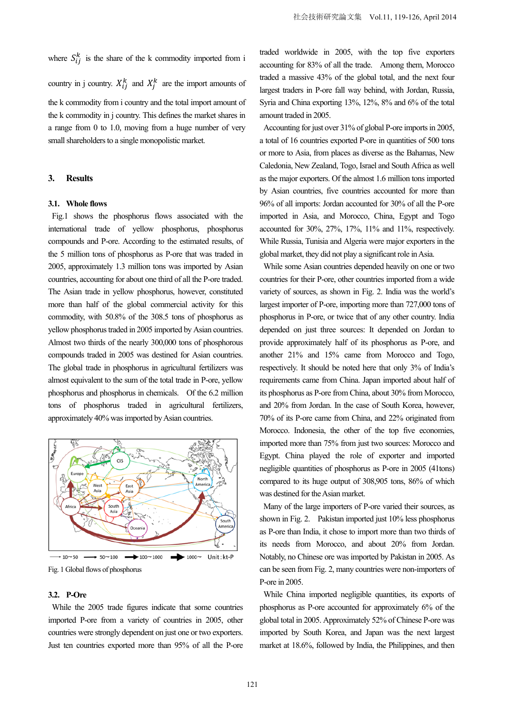where  $S_{ij}^k$  is the share of the k commodity imported from i country in j country.  $X_{ij}^k$  and  $X_j^k$  are the import amounts of the k commodity from i country and the total import amount of the k commodity in j country. This defines the market shares in a range from 0 to 1.0, moving from a huge number of very small shareholders to a single monopolistic market.

#### **3. Results**

#### **3.1. Whole flows**

Fig.1 shows the phosphorus flows associated with the international trade of yellow phosphorus, phosphorus compounds and P-ore. According to the estimated results, of the 5 million tons of phosphorus as P-ore that was traded in 2005, approximately 1.3 million tons was imported by Asian countries, accounting for about one third of all the P-ore traded. The Asian trade in yellow phosphorus, however, constituted more than half of the global commercial activity for this commodity, with 50.8% of the 308.5 tons of phosphorus as yellow phosphorus traded in 2005 imported by Asian countries. Almost two thirds of the nearly 300,000 tons of phosphorous compounds traded in 2005 was destined for Asian countries. The global trade in phosphorus in agricultural fertilizers was almost equivalent to the sum of the total trade in P-ore, yellow phosphorus and phosphorus in chemicals. Of the 6.2 million tons of phosphorus traded in agricultural fertilizers, approximately 40% was imported by Asian countries.



Fig. 1 Global flows of phosphorus

#### **3.2. P-Ore**

While the 2005 trade figures indicate that some countries imported P-ore from a variety of countries in 2005, other countries were strongly dependent on just one or two exporters. Just ten countries exported more than 95% of all the P-ore

traded worldwide in 2005, with the top five exporters accounting for 83% of all the trade. Among them, Morocco traded a massive 43% of the global total, and the next four largest traders in P-ore fall way behind, with Jordan, Russia, Syria and China exporting 13%, 12%, 8% and 6% of the total amount traded in 2005.

Accounting for just over 31% of global P-ore imports in 2005, a total of 16 countries exported P-ore in quantities of 500 tons or more to Asia, from places as diverse as the Bahamas, New Caledonia, New Zealand, Togo, Israel and South Africa as well as the major exporters. Of the almost 1.6 million tons imported by Asian countries, five countries accounted for more than 96% of all imports: Jordan accounted for 30% of all the P-ore imported in Asia, and Morocco, China, Egypt and Togo accounted for 30%, 27%, 17%, 11% and 11%, respectively. While Russia, Tunisia and Algeria were major exporters in the global market, they did not play a significant role in Asia.

While some Asian countries depended heavily on one or two countries for their P-ore, other countries imported from a wide variety of sources, as shown in Fig. 2. India was the world's largest importer of P-ore, importing more than 727,000 tons of phosphorus in P-ore, or twice that of any other country. India depended on just three sources: It depended on Jordan to provide approximately half of its phosphorus as P-ore, and another 21% and 15% came from Morocco and Togo, respectively. It should be noted here that only 3% of India's requirements came from China. Japan imported about half of its phosphorus as P-ore from China, about 30% from Morocco, and 20% from Jordan. In the case of South Korea, however, 70% of its P-ore came from China, and 22% originated from Morocco. Indonesia, the other of the top five economies, imported more than 75% from just two sources: Morocco and Egypt. China played the role of exporter and imported negligible quantities of phosphorus as P-ore in 2005 (41tons) compared to its huge output of 308,905 tons, 86% of which was destined for the Asian market.

Many of the large importers of P-ore varied their sources, as shown in Fig. 2. Pakistan imported just 10% less phosphorus as P-ore than India, it chose to import more than two thirds of its needs from Morocco, and about 20% from Jordan. Notably, no Chinese ore was imported by Pakistan in 2005. As can be seen from Fig. 2, many countries were non-importers of P-ore in 2005.

While China imported negligible quantities, its exports of phosphorus as P-ore accounted for approximately 6% of the global total in 2005. Approximately 52% of Chinese P-ore was imported by South Korea, and Japan was the next largest market at 18.6%, followed by India, the Philippines, and then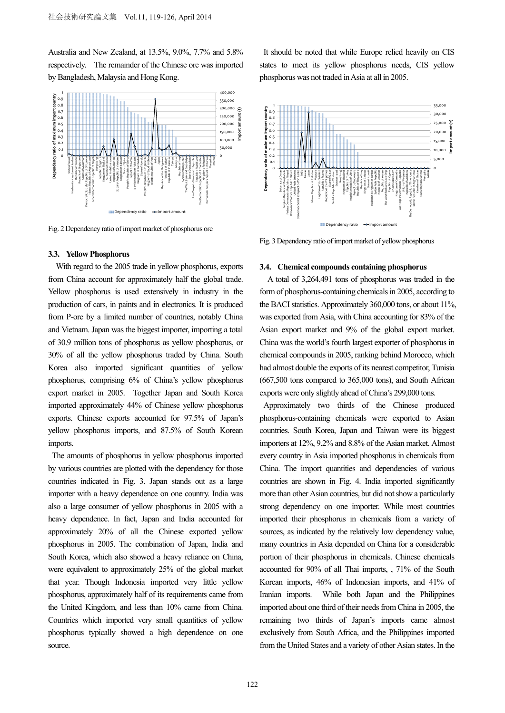Australia and New Zealand, at 13.5%, 9.0%, 7.7% and 5.8% respectively. The remainder of the Chinese ore was imported by Bangladesh, Malaysia and Hong Kong.



Fig. 2 Dependency ratio of import market of phosphorus ore

## **3.3. Yellow Phosphorus**

With regard to the 2005 trade in yellow phosphorus, exports from China account for approximately half the global trade. Yellow phosphorus is used extensively in industry in the production of cars, in paints and in electronics. It is produced from P-ore by a limited number of countries, notably China and Vietnam. Japan was the biggest importer, importing a total of 30.9 million tons of phosphorus as yellow phosphorus, or 30% of all the yellow phosphorus traded by China. South Korea also imported significant quantities of yellow phosphorus, comprising 6% of China's yellow phosphorus export market in 2005. Together Japan and South Korea imported approximately 44% of Chinese yellow phosphorus exports. Chinese exports accounted for 97.5% of Japan's yellow phosphorus imports, and 87.5% of South Korean imports.

The amounts of phosphorus in yellow phosphorus imported by various countries are plotted with the dependency for those countries indicated in Fig. 3. Japan stands out as a large importer with a heavy dependence on one country. India was also a large consumer of yellow phosphorus in 2005 with a heavy dependence. In fact, Japan and India accounted for approximately 20% of all the Chinese exported yellow phosphorus in 2005. The combination of Japan, India and South Korea, which also showed a heavy reliance on China, were equivalent to approximately 25% of the global market that year. Though Indonesia imported very little yellow phosphorus, approximately half of its requirements came from the United Kingdom, and less than 10% came from China. Countries which imported very small quantities of yellow phosphorus typically showed a high dependence on one source.

It should be noted that while Europe relied heavily on CIS states to meet its yellow phosphorus needs, CIS yellow phosphorus was not traded in Asia at all in 2005.



Fig. 3 Dependency ratio of import market of yellow phosphorus

#### **3.4. Chemical compounds containing phosphorus**

A total of 3,264,491 tons of phosphorus was traded in the form of phosphorus-containing chemicals in 2005, according to the BACI statistics. Approximately 360,000 tons, or about 11%, was exported from Asia, with China accounting for 83% of the Asian export market and 9% of the global export market. China was the world's fourth largest exporter of phosphorus in chemical compounds in 2005, ranking behind Morocco, which had almost double the exports of its nearest competitor, Tunisia (667,500 tons compared to 365,000 tons), and South African exports were only slightly ahead of China's 299,000 tons.

Approximately two thirds of the Chinese produced phosphorus-containing chemicals were exported to Asian countries. South Korea, Japan and Taiwan were its biggest importers at 12%, 9.2% and 8.8% of the Asian market. Almost every country in Asia imported phosphorus in chemicals from China. The import quantities and dependencies of various countries are shown in Fig. 4. India imported significantly more than other Asian countries, but did not show a particularly strong dependency on one importer. While most countries imported their phosphorus in chemicals from a variety of sources, as indicated by the relatively low dependency value, many countries in Asia depended on China for a considerable portion of their phosphorus in chemicals. Chinese chemicals accounted for 90% of all Thai imports, , 71% of the South Korean imports, 46% of Indonesian imports, and 41% of Iranian imports. While both Japan and the Philippines imported about one third of their needs from China in 2005, the remaining two thirds of Japan's imports came almost exclusively from South Africa, and the Philippines imported from the United States and a variety of other Asian states. In the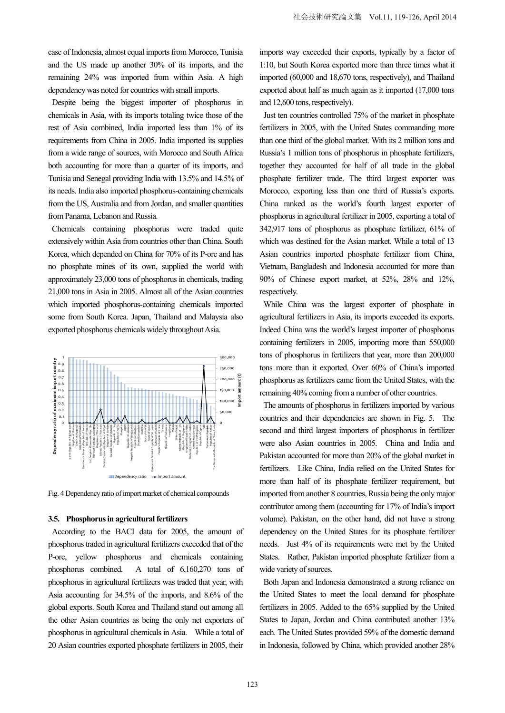case of Indonesia, almost equal imports from Morocco, Tunisia and the US made up another 30% of its imports, and the remaining 24% was imported from within Asia. A high dependency was noted for countries with small imports.

Despite being the biggest importer of phosphorus in chemicals in Asia, with its imports totaling twice those of the rest of Asia combined, India imported less than 1% of its requirements from China in 2005. India imported its supplies from a wide range of sources, with Morocco and South Africa both accounting for more than a quarter of its imports, and Tunisia and Senegal providing India with 13.5% and 14.5% of its needs. India also imported phosphorus-containing chemicals from the US, Australia and from Jordan, and smaller quantities from Panama, Lebanon and Russia.

Chemicals containing phosphorus were traded quite extensively within Asia from countries other than China. South Korea, which depended on China for 70% of its P-ore and has no phosphate mines of its own, supplied the world with approximately 23,000 tons of phosphorus in chemicals, trading 21,000 tons in Asia in 2005. Almost all of the Asian countries which imported phosphorus-containing chemicals imported some from South Korea. Japan, Thailand and Malaysia also exported phosphorus chemicals widely throughout Asia.



Fig. 4 Dependency ratio of import market of chemical compounds

#### **3.5. Phosphorus in agricultural fertilizers**

According to the BACI data for 2005, the amount of phosphorus traded in agricultural fertilizers exceeded that of the P-ore, yellow phosphorus and chemicals containing phosphorus combined. A total of 6,160,270 tons of phosphorus in agricultural fertilizers was traded that year, with Asia accounting for 34.5% of the imports, and 8.6% of the global exports. South Korea and Thailand stand out among all the other Asian countries as being the only net exporters of phosphorus in agricultural chemicals in Asia. While a total of 20 Asian countries exported phosphate fertilizers in 2005, their

imports way exceeded their exports, typically by a factor of 1:10, but South Korea exported more than three times what it imported (60,000 and 18,670 tons, respectively), and Thailand exported about half as much again as it imported (17,000 tons and 12,600 tons, respectively).

Just ten countries controlled 75% of the market in phosphate fertilizers in 2005, with the United States commanding more than one third of the global market. With its 2 million tons and Russia's 1 million tons of phosphorus in phosphate fertilizers, together they accounted for half of all trade in the global phosphate fertilizer trade. The third largest exporter was Morocco, exporting less than one third of Russia's exports. China ranked as the world's fourth largest exporter of phosphorus in agricultural fertilizer in 2005, exporting a total of 342,917 tons of phosphorus as phosphate fertilizer, 61% of which was destined for the Asian market. While a total of 13 Asian countries imported phosphate fertilizer from China, Vietnam, Bangladesh and Indonesia accounted for more than 90% of Chinese export market, at 52%, 28% and 12%, respectively.

While China was the largest exporter of phosphate in agricultural fertilizers in Asia, its imports exceeded its exports. Indeed China was the world's largest importer of phosphorus containing fertilizers in 2005, importing more than 550,000 tons of phosphorus in fertilizers that year, more than 200,000 tons more than it exported. Over 60% of China's imported phosphorus as fertilizers came from the United States, with the remaining 40% coming from a number of other countries.

The amounts of phosphorus in fertilizers imported by various countries and their dependencies are shown in Fig. 5. The second and third largest importers of phosphorus in fertilizer were also Asian countries in 2005. China and India and Pakistan accounted for more than 20% of the global market in fertilizers. Like China, India relied on the United States for more than half of its phosphate fertilizer requirement, but imported from another 8 countries, Russia being the only major contributor among them (accounting for 17% of India's import volume). Pakistan, on the other hand, did not have a strong dependency on the United States for its phosphate fertilizer needs. Just 4% of its requirements were met by the United States. Rather, Pakistan imported phosphate fertilizer from a wide variety of sources.

Both Japan and Indonesia demonstrated a strong reliance on the United States to meet the local demand for phosphate fertilizers in 2005. Added to the 65% supplied by the United States to Japan, Jordan and China contributed another 13% each. The United States provided 59% of the domestic demand in Indonesia, followed by China, which provided another 28%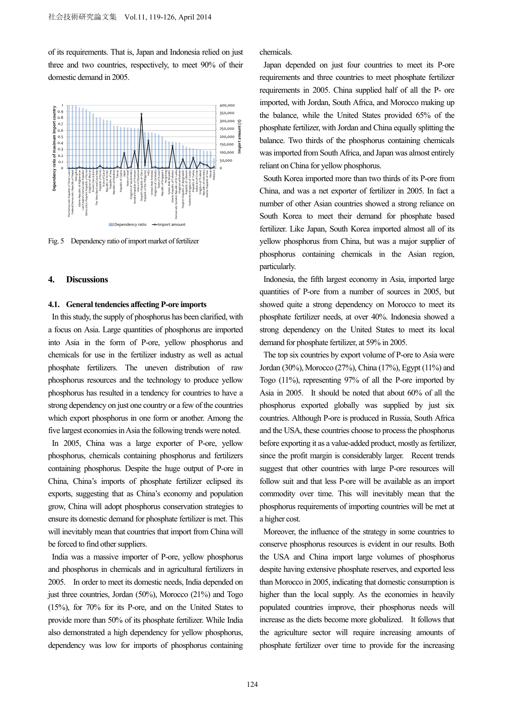of its requirements. That is, Japan and Indonesia relied on just three and two countries, respectively, to meet 90% of their domestic demand in 2005.



Fig. 5 Dependency ratio of import market of fertilizer

#### **4. Discussions**

# **4.1. General tendencies affecting P-ore imports**

In this study, the supply of phosphorus has been clarified, with a focus on Asia. Large quantities of phosphorus are imported into Asia in the form of P-ore, yellow phosphorus and chemicals for use in the fertilizer industry as well as actual phosphate fertilizers. The uneven distribution of raw phosphorus resources and the technology to produce yellow phosphorus has resulted in a tendency for countries to have a strong dependency on just one country or a few of the countries which export phosphorus in one form or another. Among the five largest economies in Asia the following trends were noted.

In 2005, China was a large exporter of P-ore, yellow phosphorus, chemicals containing phosphorus and fertilizers containing phosphorus. Despite the huge output of P-ore in China, China's imports of phosphate fertilizer eclipsed its exports, suggesting that as China's economy and population grow, China will adopt phosphorus conservation strategies to ensure its domestic demand for phosphate fertilizer is met. This will inevitably mean that countries that import from China will be forced to find other suppliers.

India was a massive importer of P-ore, yellow phosphorus and phosphorus in chemicals and in agricultural fertilizers in 2005. In order to meet its domestic needs, India depended on just three countries, Jordan (50%), Morocco (21%) and Togo (15%), for 70% for its P-ore, and on the United States to provide more than 50% of its phosphate fertilizer. While India also demonstrated a high dependency for yellow phosphorus, dependency was low for imports of phosphorus containing chemicals.

Japan depended on just four countries to meet its P-ore requirements and three countries to meet phosphate fertilizer requirements in 2005. China supplied half of all the P- ore imported, with Jordan, South Africa, and Morocco making up the balance, while the United States provided 65% of the phosphate fertilizer, with Jordan and China equally splitting the balance. Two thirds of the phosphorus containing chemicals was imported from South Africa, and Japan was almost entirely reliant on China for yellow phosphorus.

South Korea imported more than two thirds of its P-ore from China, and was a net exporter of fertilizer in 2005. In fact a number of other Asian countries showed a strong reliance on South Korea to meet their demand for phosphate based fertilizer. Like Japan, South Korea imported almost all of its yellow phosphorus from China, but was a major supplier of phosphorus containing chemicals in the Asian region, particularly.

Indonesia, the fifth largest economy in Asia, imported large quantities of P-ore from a number of sources in 2005, but showed quite a strong dependency on Morocco to meet its phosphate fertilizer needs, at over 40%. Indonesia showed a strong dependency on the United States to meet its local demand for phosphate fertilizer, at 59% in 2005.

The top six countries by export volume of P-ore to Asia were Jordan (30%), Morocco (27%), China (17%), Egypt (11%) and Togo (11%), representing 97% of all the P-ore imported by Asia in 2005. It should be noted that about 60% of all the phosphorus exported globally was supplied by just six countries. Although P-ore is produced in Russia, South Africa and the USA, these countries choose to process the phosphorus before exporting it as a value-added product, mostly as fertilizer, since the profit margin is considerably larger. Recent trends suggest that other countries with large P-ore resources will follow suit and that less P-ore will be available as an import commodity over time. This will inevitably mean that the phosphorus requirements of importing countries will be met at a higher cost.

Moreover, the influence of the strategy in some countries to conserve phosphorus resources is evident in our results. Both the USA and China import large volumes of phosphorus despite having extensive phosphate reserves, and exported less than Morocco in 2005, indicating that domestic consumption is higher than the local supply. As the economies in heavily populated countries improve, their phosphorus needs will increase as the diets become more globalized. It follows that the agriculture sector will require increasing amounts of phosphate fertilizer over time to provide for the increasing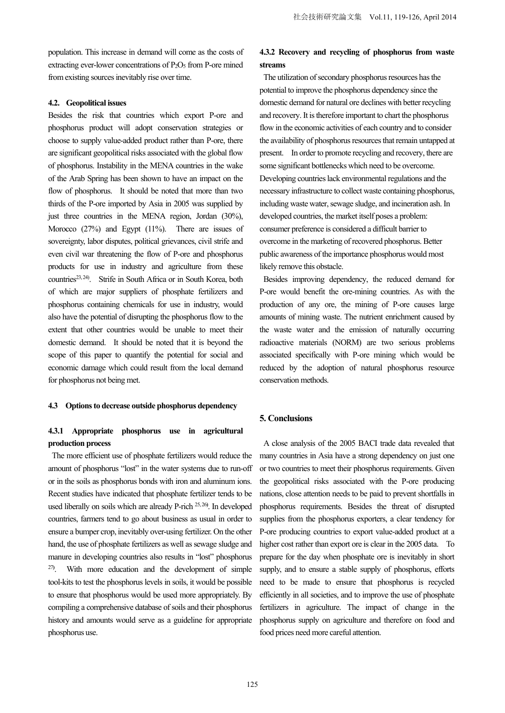population. This increase in demand will come as the costs of extracting ever-lower concentrations of  $P_2O_5$  from P-ore mined from existing sources inevitably rise over time.

#### **4.2. Geopolitical issues**

Besides the risk that countries which export P-ore and phosphorus product will adopt conservation strategies or choose to supply value-added product rather than P-ore, there are significant geopolitical risks associated with the global flow of phosphorus. Instability in the MENA countries in the wake of the Arab Spring has been shown to have an impact on the flow of phosphorus. It should be noted that more than two thirds of the P-ore imported by Asia in 2005 was supplied by just three countries in the MENA region, Jordan (30%), Morocco (27%) and Egypt (11%). There are issues of sovereignty, labor disputes, political grievances, civil strife and even civil war threatening the flow of P-ore and phosphorus products for use in industry and agriculture from these countries<sup>23, 24</sup>). Strife in South Africa or in South Korea, both of which are major suppliers of phosphate fertilizers and phosphorus containing chemicals for use in industry, would also have the potential of disrupting the phosphorus flow to the extent that other countries would be unable to meet their domestic demand. It should be noted that it is beyond the scope of this paper to quantify the potential for social and economic damage which could result from the local demand for phosphorus not being met.

## **4.3 Options to decrease outside phosphorus dependency**

# **4.3.1 Appropriate phosphorus use in agricultural production process**

The more efficient use of phosphate fertilizers would reduce the amount of phosphorus "lost" in the water systems due to run-off or in the soils as phosphorus bonds with iron and aluminum ions. Recent studies have indicated that phosphate fertilizer tends to be used liberally on soils which are already P-rich 25, 26**)** . In developed countries, farmers tend to go about business as usual in order to ensure a bumper crop, inevitably over-using fertilizer. On the other hand, the use of phosphate fertilizers as well as sewage sludge and manure in developing countries also results in "lost" phosphorus 27**)** . With more education and the development of simple tool-kits to test the phosphorus levels in soils, it would be possible to ensure that phosphorus would be used more appropriately. By compiling a comprehensive database of soils and their phosphorus history and amounts would serve as a guideline for appropriate phosphorus use.

# **4.3.2 Recovery and recycling of phosphorus from waste streams**

The utilization of secondary phosphorus resources has the potential to improve the phosphorus dependency since the domestic demand for natural ore declines with better recycling and recovery. It is therefore important to chart the phosphorus flow in the economic activities of each country and to consider the availability of phosphorus resources that remain untapped at present. In order to promote recycling and recovery, there are some significant bottlenecks which need to be overcome. Developing countries lack environmental regulations and the necessary infrastructure to collect waste containing phosphorus, including waste water, sewage sludge, and incineration ash. In developed countries, the market itself poses a problem: consumer preference is considered a difficult barrier to overcome in the marketing of recovered phosphorus. Better public awareness of the importance phosphorus would most likely remove this obstacle.

Besides improving dependency, the reduced demand for P-ore would benefit the ore-mining countries. As with the production of any ore, the mining of P-ore causes large amounts of mining waste. The nutrient enrichment caused by the waste water and the emission of naturally occurring radioactive materials (NORM) are two serious problems associated specifically with P-ore mining which would be reduced by the adoption of natural phosphorus resource conservation methods.

# **5. Conclusions**

A close analysis of the 2005 BACI trade data revealed that many countries in Asia have a strong dependency on just one or two countries to meet their phosphorus requirements. Given the geopolitical risks associated with the P-ore producing nations, close attention needs to be paid to prevent shortfalls in phosphorus requirements. Besides the threat of disrupted supplies from the phosphorus exporters, a clear tendency for P-ore producing countries to export value-added product at a higher cost rather than export ore is clear in the 2005 data. To prepare for the day when phosphate ore is inevitably in short supply, and to ensure a stable supply of phosphorus, efforts need to be made to ensure that phosphorus is recycled efficiently in all societies, and to improve the use of phosphate fertilizers in agriculture. The impact of change in the phosphorus supply on agriculture and therefore on food and food prices need more careful attention.